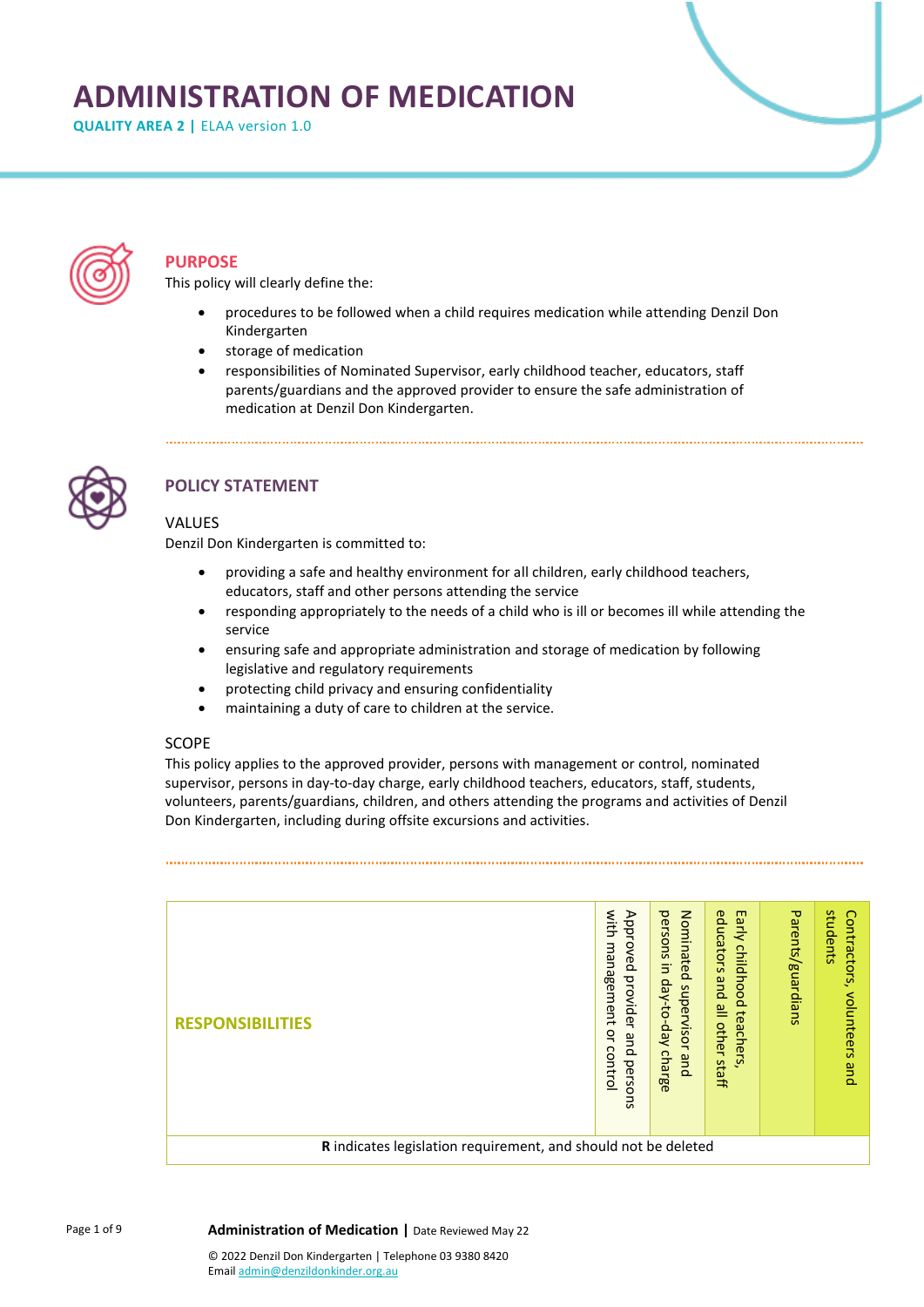# **ADMINISTRATION OF MEDICATION**

**QUALITY AREA 2 | ELAA version 1.0** 



### **PURPOSE**

This policy will clearly define the:

• procedures to be followed when a child requires medication while attending Denzil Don Kindergarten

- storage of medication
- responsibilities of Nominated Supervisor, early childhood teacher, educators, staff parents/guardians and the approved provider to ensure the safe administration of medication at Denzil Don Kindergarten.



# **POLICY STATEMENT**

### VALUES

Denzil Don Kindergarten is committed to:

- providing a safe and healthy environment for all children, early childhood teachers, educators, staff and other persons attending the service
- responding appropriately to the needs of a child who is ill or becomes ill while attending the service
- ensuring safe and appropriate administration and storage of medication by following legislative and regulatory requirements
- protecting child privacy and ensuring confidentiality
- maintaining a duty of care to children at the service.

### **SCOPE**

This policy applies to the approved provider, persons with management or control, nominated supervisor, persons in day-to-day charge, early childhood teachers, educators, staff, students, volunteers, parents/guardians, children, and others attending the programs and activities of Denzil Don Kindergarten, including during offsite excursions and activities.

| <b>RESPONSIBILITIES</b>                                        |  | with<br>Approved<br>management<br>provider<br>$\mathbf{a}$<br>pue<br>control<br>perso<br>ā | Nominated<br>persons<br>$\overline{5}$<br>day-to-day<br>supervisor<br>charge<br>qnd | educators<br>Early<br>childhood<br>pue<br>≌<br>teachers<br>other<br>staff | Parents/guardians | students<br>Contractors,<br>volunteers<br>pue |
|----------------------------------------------------------------|--|--------------------------------------------------------------------------------------------|-------------------------------------------------------------------------------------|---------------------------------------------------------------------------|-------------------|-----------------------------------------------|
| R indicates legislation requirement, and should not be deleted |  |                                                                                            |                                                                                     |                                                                           |                   |                                               |

**Administration of Medication |** Date Reviewed May 22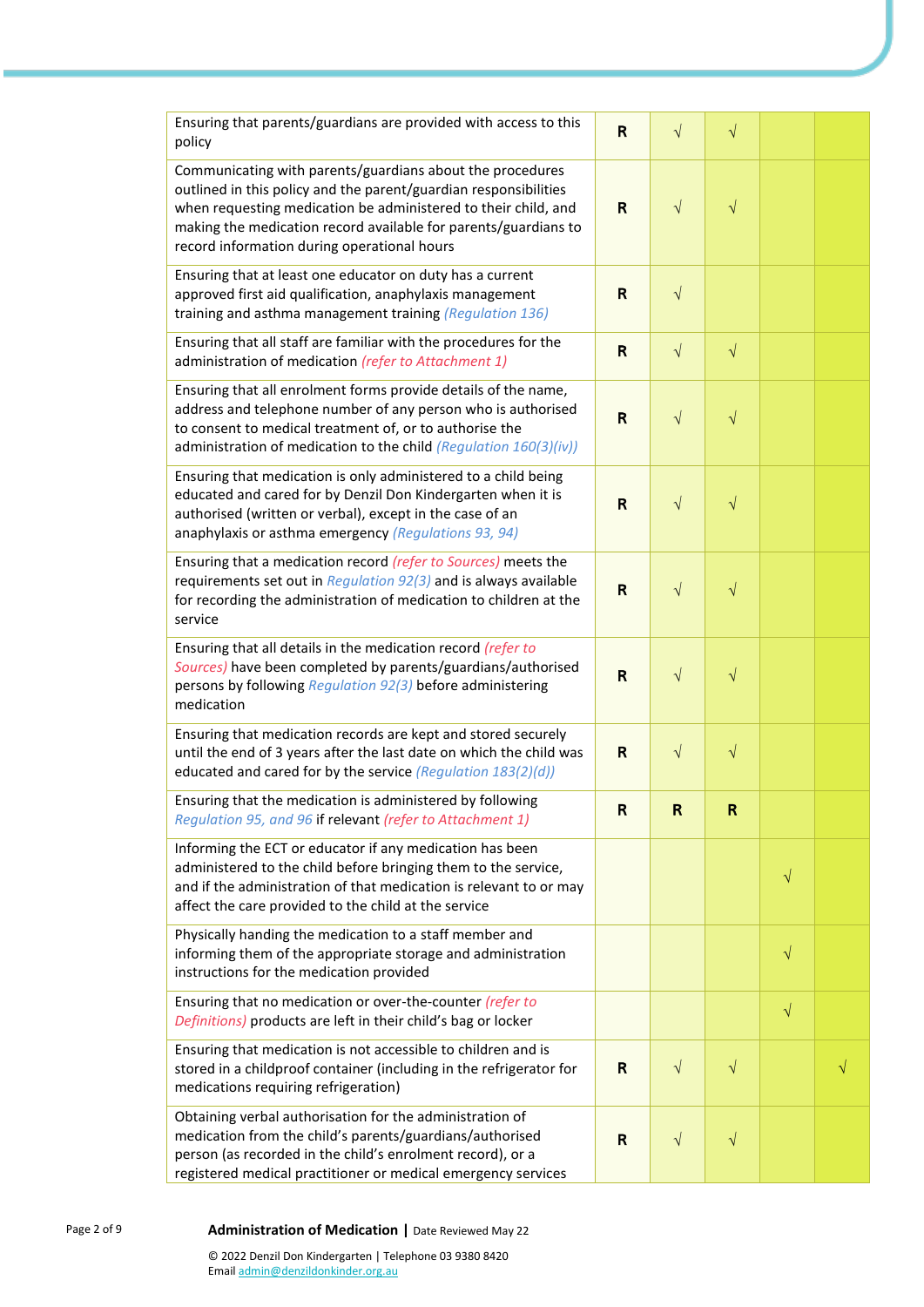| Ensuring that parents/guardians are provided with access to this<br>policy                                                                                                                                                                                                                                        | R            | $\sqrt{}$  | $\sqrt{}$ |           |   |
|-------------------------------------------------------------------------------------------------------------------------------------------------------------------------------------------------------------------------------------------------------------------------------------------------------------------|--------------|------------|-----------|-----------|---|
| Communicating with parents/guardians about the procedures<br>outlined in this policy and the parent/guardian responsibilities<br>when requesting medication be administered to their child, and<br>making the medication record available for parents/guardians to<br>record information during operational hours |              | $\sqrt{}$  | $\sqrt{}$ |           |   |
| Ensuring that at least one educator on duty has a current<br>approved first aid qualification, anaphylaxis management<br>training and asthma management training (Regulation 136)                                                                                                                                 | $\mathsf{R}$ | $\sqrt{}$  |           |           |   |
| Ensuring that all staff are familiar with the procedures for the<br>administration of medication (refer to Attachment 1)                                                                                                                                                                                          |              | $\sqrt{}$  | $\sqrt{}$ |           |   |
| Ensuring that all enrolment forms provide details of the name,<br>address and telephone number of any person who is authorised<br>to consent to medical treatment of, or to authorise the<br>administration of medication to the child (Regulation 160(3)(iv))                                                    | $\mathsf{R}$ | $\sqrt{}$  | $\sqrt{}$ |           |   |
| Ensuring that medication is only administered to a child being<br>educated and cared for by Denzil Don Kindergarten when it is<br>authorised (written or verbal), except in the case of an<br>anaphylaxis or asthma emergency (Regulations 93, 94)                                                                | $\mathsf{R}$ | $\sqrt{}$  | $\sqrt{}$ |           |   |
| Ensuring that a medication record (refer to Sources) meets the<br>requirements set out in Regulation 92(3) and is always available<br>for recording the administration of medication to children at the<br>service                                                                                                | R            | $\sqrt{}$  | $\sqrt{}$ |           |   |
| Ensuring that all details in the medication record (refer to<br>Sources) have been completed by parents/guardians/authorised<br>persons by following Regulation 92(3) before administering<br>medication                                                                                                          | $\mathsf{R}$ | $\sqrt{}$  | $\sqrt{}$ |           |   |
| Ensuring that medication records are kept and stored securely<br>until the end of 3 years after the last date on which the child was<br>educated and cared for by the service (Regulation 183(2)(d))                                                                                                              | R            | $\sqrt{ }$ | $\sqrt{}$ |           |   |
| Ensuring that the medication is administered by following<br>Regulation 95, and 96 if relevant (refer to Attachment 1)                                                                                                                                                                                            | ĸ            | ĸ          | ĸ         |           |   |
| Informing the ECT or educator if any medication has been<br>administered to the child before bringing them to the service,<br>and if the administration of that medication is relevant to or may<br>affect the care provided to the child at the service                                                          |              |            |           | $\sqrt{}$ |   |
| Physically handing the medication to a staff member and<br>informing them of the appropriate storage and administration<br>instructions for the medication provided                                                                                                                                               |              |            |           | $\sqrt{}$ |   |
| Ensuring that no medication or over-the-counter (refer to<br>Definitions) products are left in their child's bag or locker                                                                                                                                                                                        |              |            |           | $\sqrt{}$ |   |
| Ensuring that medication is not accessible to children and is<br>stored in a childproof container (including in the refrigerator for<br>medications requiring refrigeration)                                                                                                                                      | R            | $\sqrt{ }$ | $\sqrt{}$ |           | V |
| Obtaining verbal authorisation for the administration of<br>medication from the child's parents/guardians/authorised<br>person (as recorded in the child's enrolment record), or a<br>registered medical practitioner or medical emergency services                                                               | R            | $\sqrt{}$  | $\sqrt{}$ |           |   |

#### Page 2 of 9 **Administration of Medication |** Date Reviewed May 22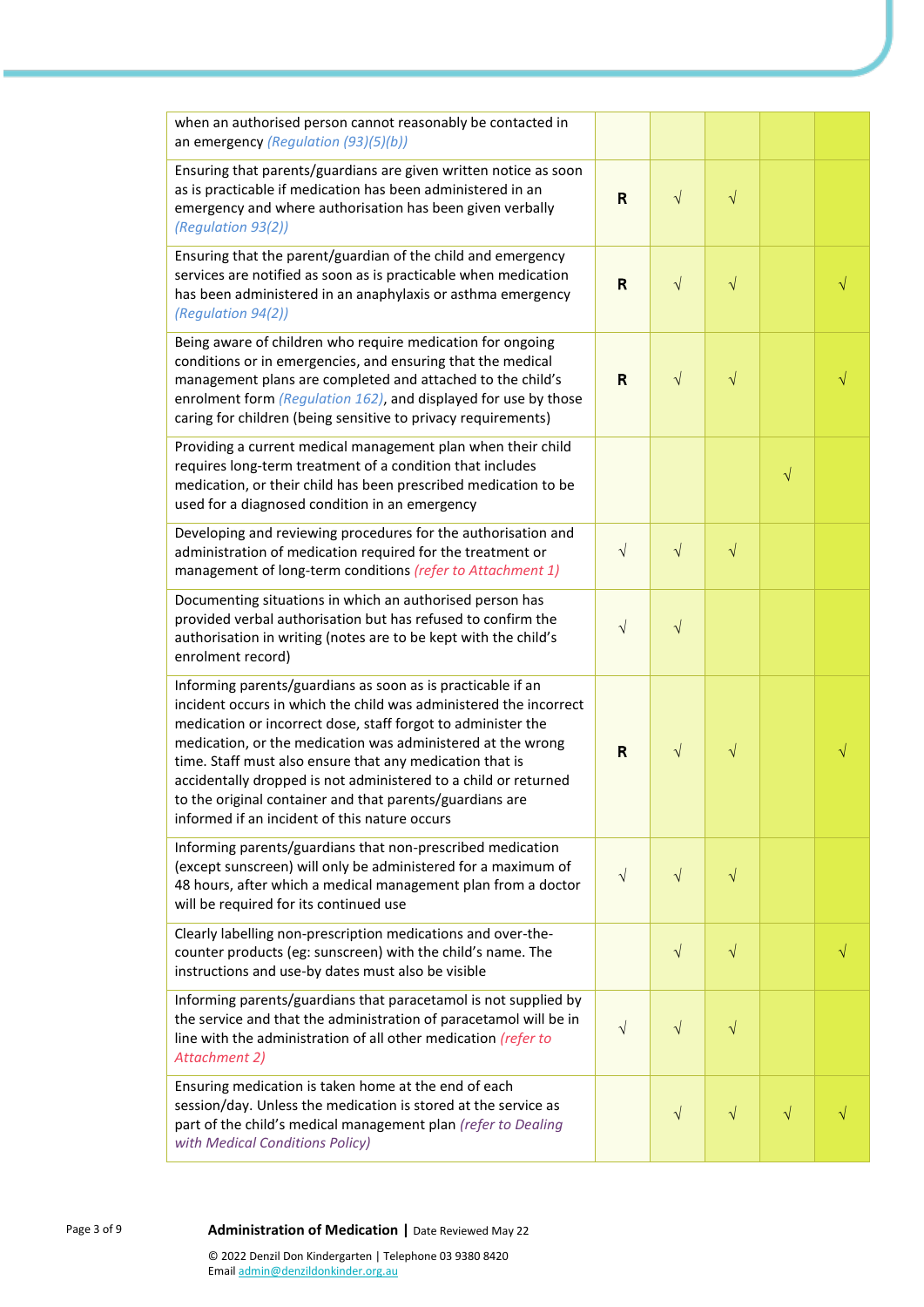| when an authorised person cannot reasonably be contacted in<br>an emergency (Regulation (93)(5)(b))                                                                                                                                                                                                                                                                                                                                                                                                         |                         |            |            |           |  |
|-------------------------------------------------------------------------------------------------------------------------------------------------------------------------------------------------------------------------------------------------------------------------------------------------------------------------------------------------------------------------------------------------------------------------------------------------------------------------------------------------------------|-------------------------|------------|------------|-----------|--|
| Ensuring that parents/guardians are given written notice as soon<br>as is practicable if medication has been administered in an<br>emergency and where authorisation has been given verbally<br>(Regulation 93(2))                                                                                                                                                                                                                                                                                          |                         | $\sqrt{}$  | $\sqrt{}$  |           |  |
| Ensuring that the parent/guardian of the child and emergency<br>services are notified as soon as is practicable when medication<br>has been administered in an anaphylaxis or asthma emergency<br>(Regulation 94(2))                                                                                                                                                                                                                                                                                        | $\overline{\mathsf{R}}$ | $\sqrt{ }$ | $\sqrt{}$  |           |  |
| Being aware of children who require medication for ongoing<br>conditions or in emergencies, and ensuring that the medical<br>management plans are completed and attached to the child's<br>enrolment form (Regulation 162), and displayed for use by those<br>caring for children (being sensitive to privacy requirements)                                                                                                                                                                                 | R                       | $\sqrt{}$  | $\sqrt{}$  |           |  |
| Providing a current medical management plan when their child<br>requires long-term treatment of a condition that includes<br>medication, or their child has been prescribed medication to be<br>used for a diagnosed condition in an emergency                                                                                                                                                                                                                                                              |                         |            |            | $\sqrt{}$ |  |
| Developing and reviewing procedures for the authorisation and<br>administration of medication required for the treatment or<br>management of long-term conditions (refer to Attachment 1)                                                                                                                                                                                                                                                                                                                   | $\sqrt{ }$              | $\sqrt{}$  | $\sqrt{ }$ |           |  |
| Documenting situations in which an authorised person has<br>provided verbal authorisation but has refused to confirm the<br>authorisation in writing (notes are to be kept with the child's<br>enrolment record)                                                                                                                                                                                                                                                                                            | $\sqrt{}$               | $\sqrt{}$  |            |           |  |
| Informing parents/guardians as soon as is practicable if an<br>incident occurs in which the child was administered the incorrect<br>medication or incorrect dose, staff forgot to administer the<br>medication, or the medication was administered at the wrong<br>time. Staff must also ensure that any medication that is<br>accidentally dropped is not administered to a child or returned<br>to the original container and that parents/guardians are<br>informed if an incident of this nature occurs | R                       | $\sqrt{}$  | $\sqrt{}$  |           |  |
| Informing parents/guardians that non-prescribed medication<br>(except sunscreen) will only be administered for a maximum of<br>48 hours, after which a medical management plan from a doctor<br>will be required for its continued use                                                                                                                                                                                                                                                                      | $\sqrt{}$               | $\sqrt{}$  | V          |           |  |
| Clearly labelling non-prescription medications and over-the-<br>counter products (eg: sunscreen) with the child's name. The<br>instructions and use-by dates must also be visible                                                                                                                                                                                                                                                                                                                           |                         | $\sqrt{}$  | $\sqrt{}$  |           |  |
| Informing parents/guardians that paracetamol is not supplied by<br>the service and that the administration of paracetamol will be in<br>line with the administration of all other medication (refer to<br><b>Attachment 2)</b>                                                                                                                                                                                                                                                                              | $\sqrt{}$               | $\sqrt{}$  | $\sqrt{}$  |           |  |
| Ensuring medication is taken home at the end of each<br>session/day. Unless the medication is stored at the service as<br>part of the child's medical management plan (refer to Dealing<br>with Medical Conditions Policy)                                                                                                                                                                                                                                                                                  |                         | $\sqrt{}$  | $\sqrt{}$  | $\sqrt{}$ |  |

### 9 **Administration of Medication |** Date Reviewed May 22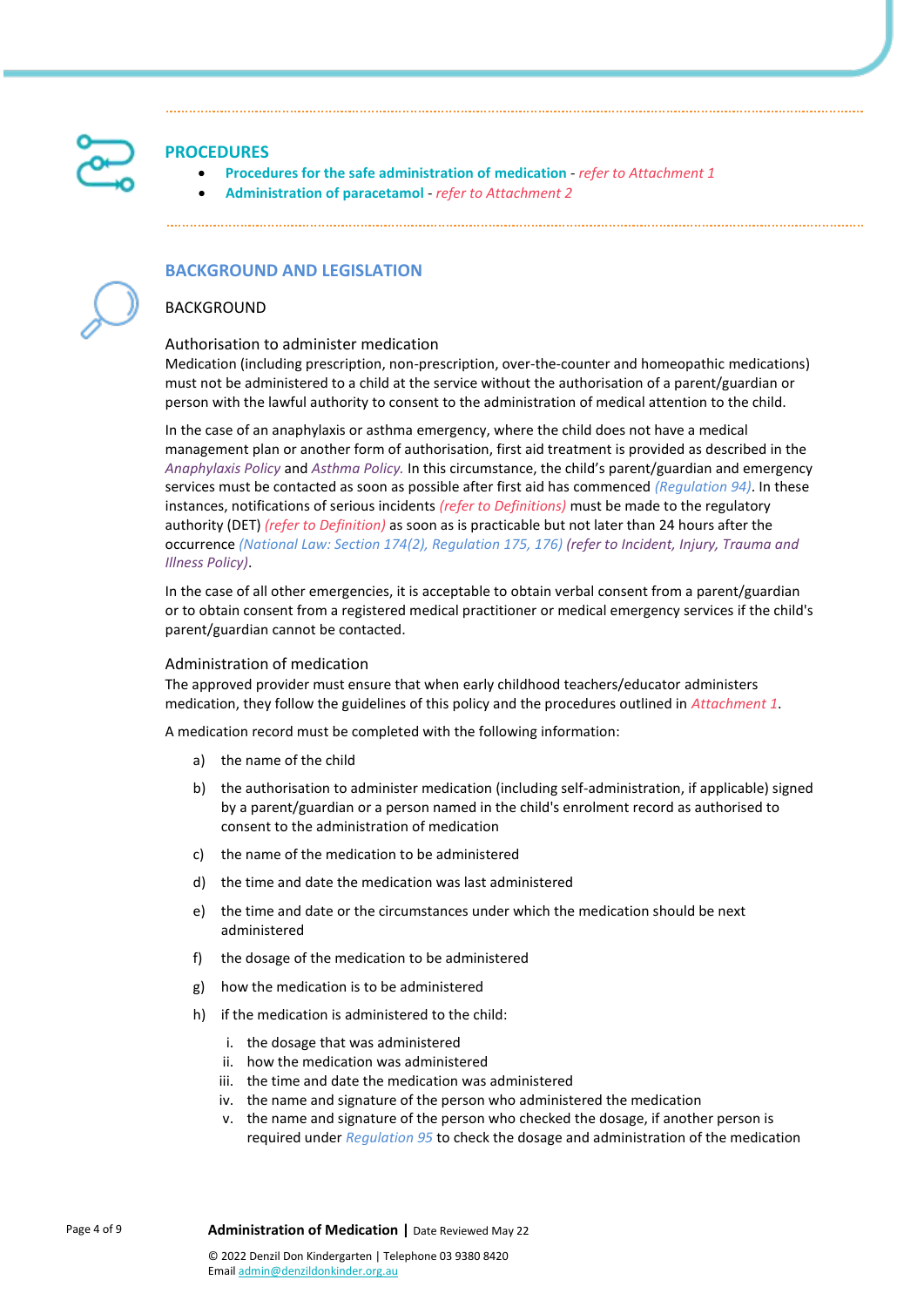

### **PROCEDURES**

- **Procedures for the safe administration of medication** *refer to Attachment 1*
- **Administration of paracetamol** *refer to Attachment 2*

### **BACKGROUND AND LEGISLATION**

### BACKGROUND

#### Authorisation to administer medication

Medication (including prescription, non-prescription, over-the-counter and homeopathic medications) must not be administered to a child at the service without the authorisation of a parent/guardian or person with the lawful authority to consent to the administration of medical attention to the child.

In the case of an anaphylaxis or asthma emergency, where the child does not have a medical management plan or another form of authorisation, first aid treatment is provided as described in the *Anaphylaxis Policy* and *Asthma Policy.* In this circumstance, the child's parent/guardian and emergency services must be contacted as soon as possible after first aid has commenced *(Regulation 94)*. In these instances, notifications of serious incidents *(refer to Definitions)* must be made to the regulatory authority (DET) *(refer to Definition)* as soon as is practicable but not later than 24 hours after the occurrence *(National Law: Section 174(2), Regulation 175, 176) (refer to Incident, Injury, Trauma and Illness Policy)*.

In the case of all other emergencies, it is acceptable to obtain verbal consent from a parent/guardian or to obtain consent from a registered medical practitioner or medical emergency services if the child's parent/guardian cannot be contacted.

#### Administration of medication

The approved provider must ensure that when early childhood teachers/educator administers medication, they follow the guidelines of this policy and the procedures outlined in *Attachment 1*.

A medication record must be completed with the following information:

- a) the name of the child
- b) the authorisation to administer medication (including self-administration, if applicable) signed by a parent/guardian or a person named in the child's enrolment record as authorised to consent to the administration of medication
- c) the name of the medication to be administered
- d) the time and date the medication was last administered
- e) the time and date or the circumstances under which the medication should be next administered
- f) the dosage of the medication to be administered
- g) how the medication is to be administered
- h) if the medication is administered to the child:
	- i. the dosage that was administered
	- ii. how the medication was administered
	- iii. the time and date the medication was administered
	- iv. the name and signature of the person who administered the medication
	- v. the name and signature of the person who checked the dosage, if another person is required under *Regulation 95* to check the dosage and administration of the medication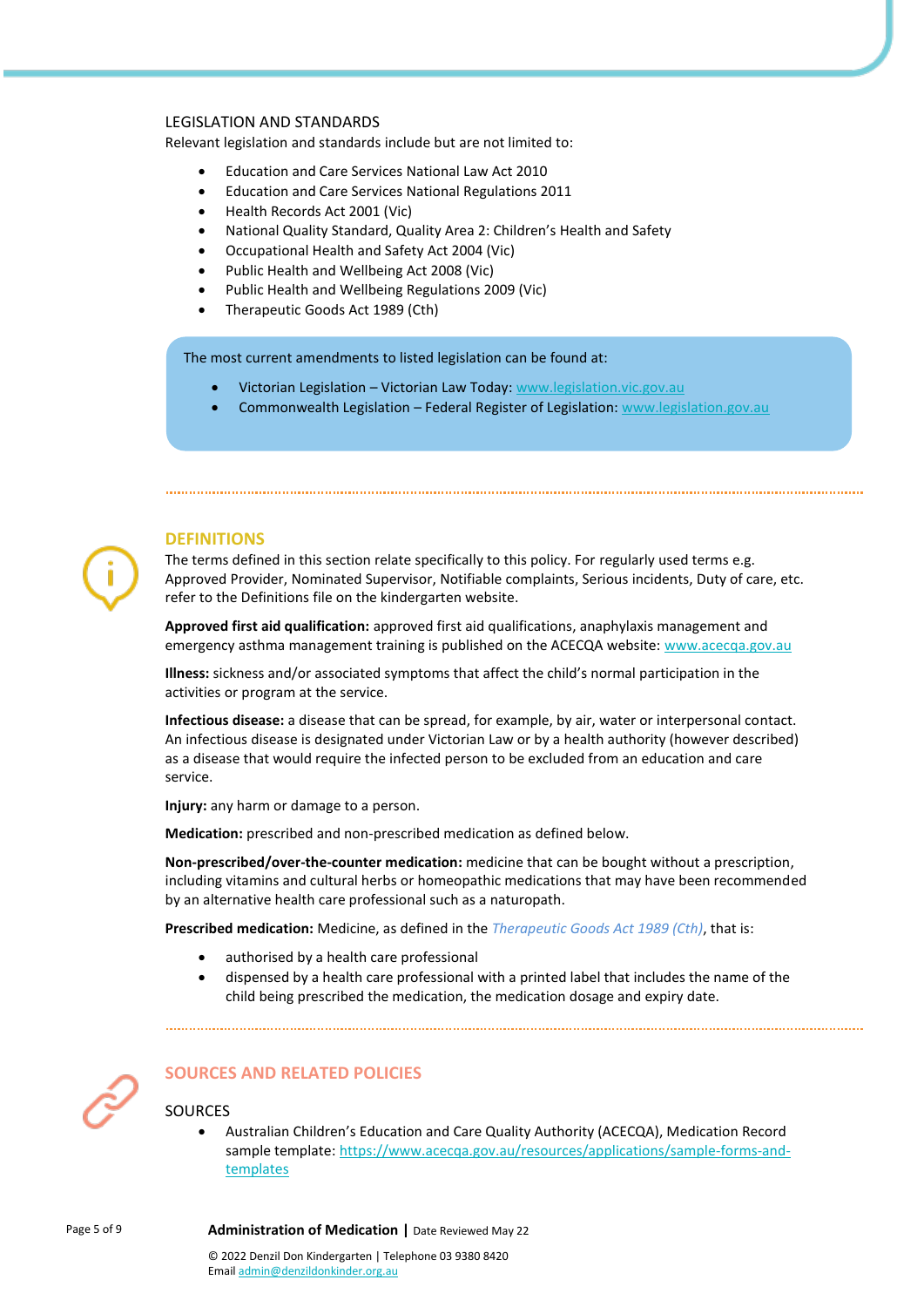### LEGISLATION AND STANDARDS

Relevant legislation and standards include but are not limited to:

- Education and Care Services National Law Act 2010
- Education and Care Services National Regulations 2011
- Health Records Act 2001 (Vic)
- National Quality Standard, Quality Area 2: Children's Health and Safety
- Occupational Health and Safety Act 2004 (Vic)
- Public Health and Wellbeing Act 2008 (Vic)
- Public Health and Wellbeing Regulations 2009 (Vic)
- Therapeutic Goods Act 1989 (Cth)

The most current amendments to listed legislation can be found at:

- Victorian Legislation Victorian Law Today: [www.legislation.vic.gov.au](http://www.legislation.vic.gov.au/)
- Commonwealth Legislation Federal Register of Legislation: [www.legislation.gov.au](http://www.legislation.gov.au/)



### **DEFINITIONS**

The terms defined in this section relate specifically to this policy. For regularly used terms e.g. Approved Provider, Nominated Supervisor, Notifiable complaints, Serious incidents, Duty of care, etc. refer to the Definitions file on the kindergarten website.

**Approved first aid qualification:** approved first aid qualifications, anaphylaxis management and emergency asthma management training is published on the ACECQA website: [www.acecqa.gov.au](https://www.acecqa.gov.au/)

**Illness:** sickness and/or associated symptoms that affect the child's normal participation in the activities or program at the service.

**Infectious disease:** a disease that can be spread, for example, by air, water or interpersonal contact. An infectious disease is designated under Victorian Law or by a health authority (however described) as a disease that would require the infected person to be excluded from an education and care service.

**Injury:** any harm or damage to a person.

**Medication:** prescribed and non-prescribed medication as defined below.

**Non-prescribed/over-the-counter medication:** medicine that can be bought without a prescription, including vitamins and cultural herbs or homeopathic medications that may have been recommended by an alternative health care professional such as a naturopath.

**Prescribed medication:** Medicine, as defined in the *Therapeutic Goods Act 1989 (Cth)*, that is:

- authorised by a health care professional
- dispensed by a health care professional with a printed label that includes the name of the child being prescribed the medication, the medication dosage and expiry date.

## **SOURCES AND RELATED POLICIES**

### **SOURCES**

• Australian Children's Education and Care Quality Authority (ACECQA), Medication Record sample template: [https://www.acecqa.gov.au/resources/applications/sample-forms-and](https://www.acecqa.gov.au/resources/applications/sample-forms-and-templates)[templates](https://www.acecqa.gov.au/resources/applications/sample-forms-and-templates)

#### Page 5 of 9 **Administration of Medication |** Date Reviewed May 22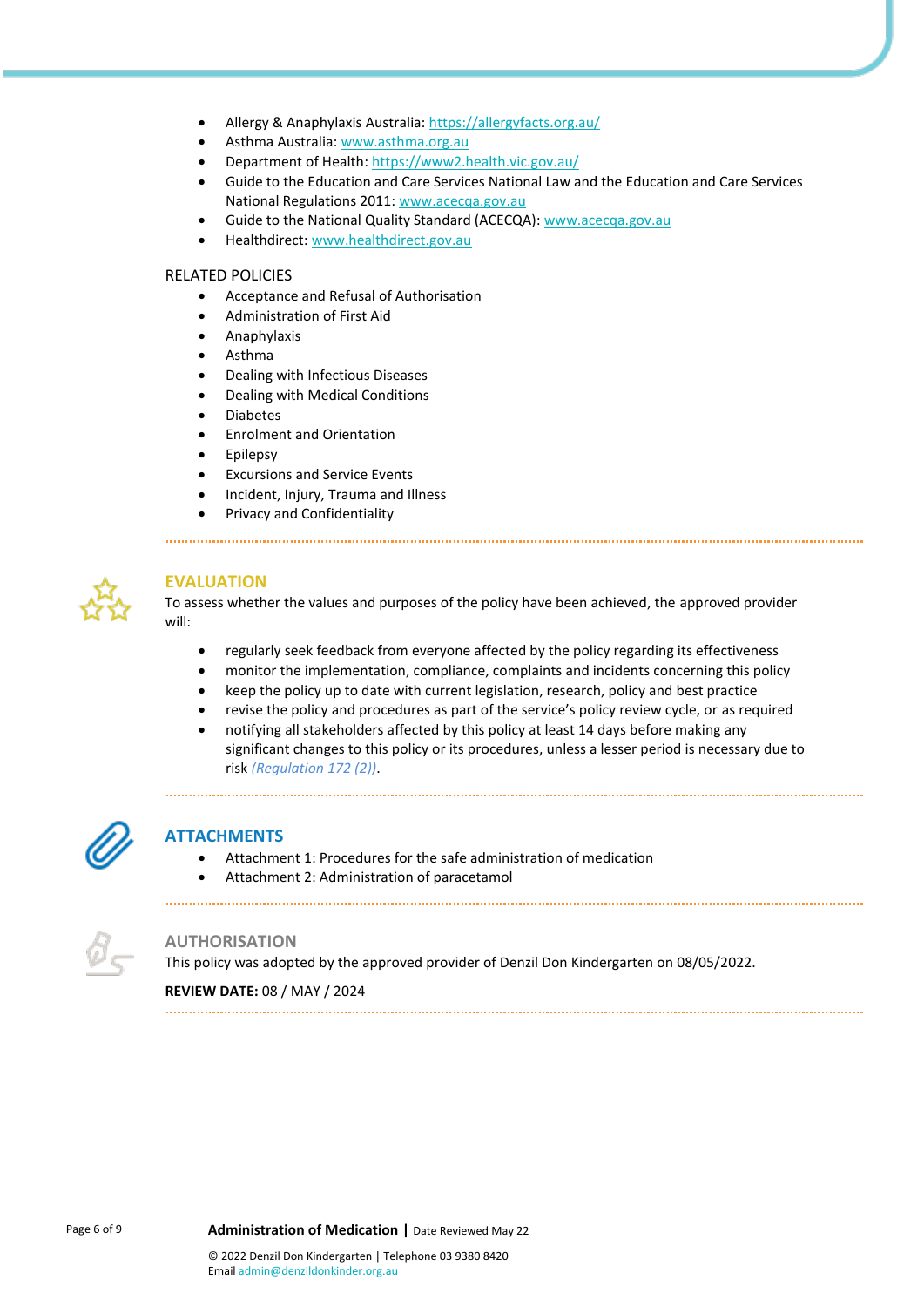- Allergy & Anaphylaxis Australia[: https://allergyfacts.org.au/](https://allergyfacts.org.au/)
- Asthma Australia[: www.asthma.org.au](https://asthma.org.au/)
- Department of Health[: https://www2.health.vic.gov.au/](https://www2.health.vic.gov.au/)
- Guide to the Education and Care Services National Law and the Education and Care Services National Regulations 2011: [www.acecqa.gov.au](https://www.acecqa.gov.au/)
- Guide to the National Quality Standard (ACECQA): [www.acecqa.gov.au](https://www.acecqa.gov.au/)
- Healthdirect: [www.healthdirect.gov.au](http://www.healthdirect.gov.au/)

#### RELATED POLICIES

- Acceptance and Refusal of Authorisation
- Administration of First Aid
- Anaphylaxis
- Asthma
- Dealing with Infectious Diseases
- Dealing with Medical Conditions
- Diabetes
- Enrolment and Orientation
- **Epilepsy**
- Excursions and Service Events
- Incident, Injury, Trauma and Illness
- Privacy and Confidentiality



### **EVALUATION**

To assess whether the values and purposes of the policy have been achieved, the approved provider will:

- regularly seek feedback from everyone affected by the policy regarding its effectiveness
- monitor the implementation, compliance, complaints and incidents concerning this policy
- keep the policy up to date with current legislation, research, policy and best practice

- revise the policy and procedures as part of the service's policy review cycle, or as required
- notifying all stakeholders affected by this policy at least 14 days before making any significant changes to this policy or its procedures, unless a lesser period is necessary due to risk *(Regulation 172 (2))*.



### **ATTACHMENTS**

- Attachment 1: Procedures for the safe administration of medication
- Attachment 2: Administration of paracetamol



### **AUTHORISATION**

This policy was adopted by the approved provider of Denzil Don Kindergarten on 08/05/2022.

### **REVIEW DATE:** 08 / MAY / 2024

Page 6 of 9 **Administration of Medication** | Date Reviewed May 22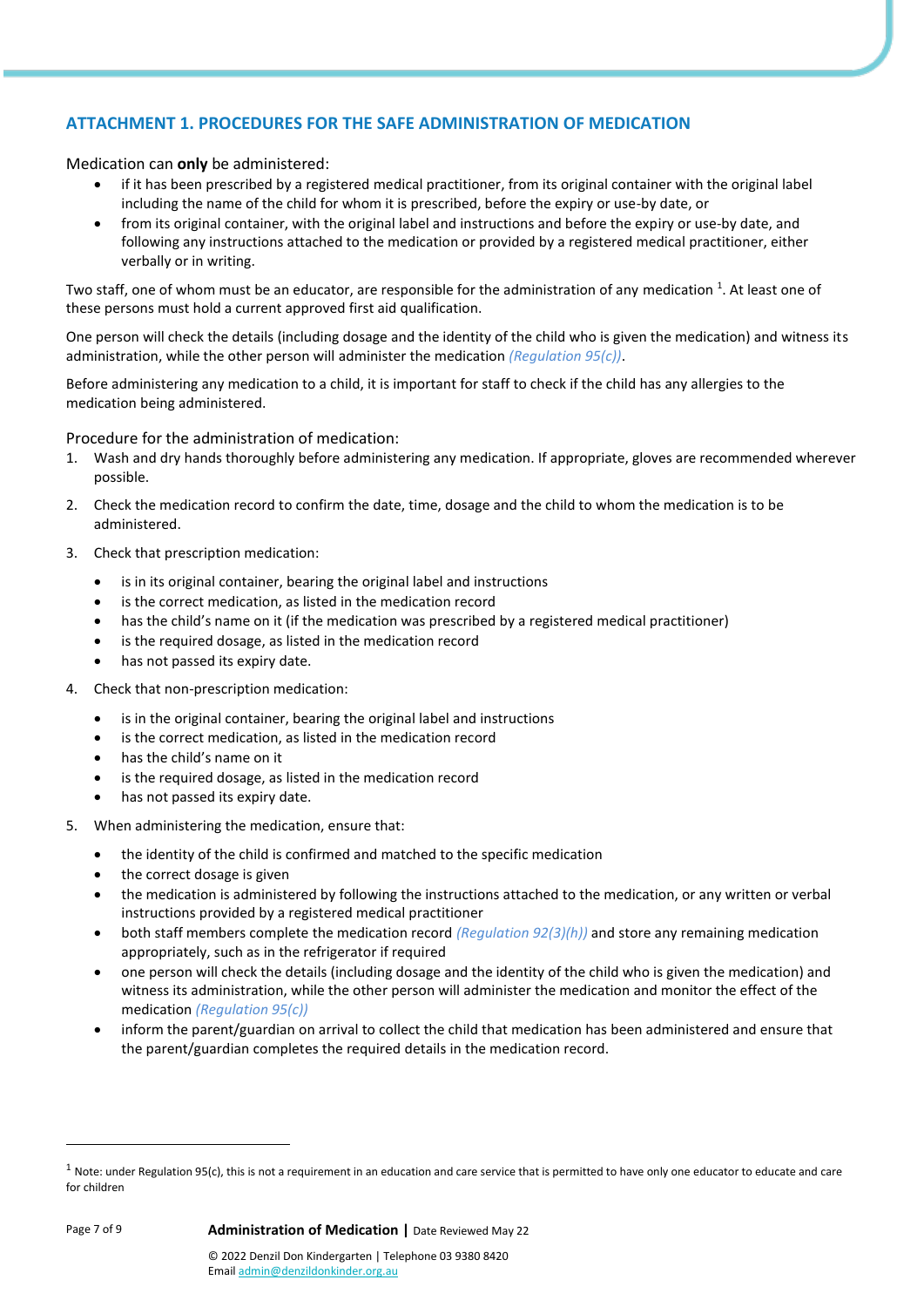# **ATTACHMENT 1. PROCEDURES FOR THE SAFE ADMINISTRATION OF MEDICATION**

### Medication can **only** be administered:

- if it has been prescribed by a registered medical practitioner, from its original container with the original label including the name of the child for whom it is prescribed, before the expiry or use-by date, or
- from its original container, with the original label and instructions and before the expiry or use-by date, and following any instructions attached to the medication or provided by a registered medical practitioner, either verbally or in writing.

Two staff, one of whom must be an educator, are responsible for the administration of any medication <sup>1</sup>. At least one of these persons must hold a current approved first aid qualification.

One person will check the details (including dosage and the identity of the child who is given the medication) and witness its administration, while the other person will administer the medication *(Regulation 95(c))*.

Before administering any medication to a child, it is important for staff to check if the child has any allergies to the medication being administered.

Procedure for the administration of medication:

- 1. Wash and dry hands thoroughly before administering any medication. If appropriate, gloves are recommended wherever possible.
- 2. Check the medication record to confirm the date, time, dosage and the child to whom the medication is to be administered.
- 3. Check that prescription medication:
	- is in its original container, bearing the original label and instructions
	- is the correct medication, as listed in the medication record
	- has the child's name on it (if the medication was prescribed by a registered medical practitioner)
	- is the required dosage, as listed in the medication record
	- has not passed its expiry date.
- 4. Check that non-prescription medication:
	- is in the original container, bearing the original label and instructions
	- is the correct medication, as listed in the medication record
	- has the child's name on it
	- is the required dosage, as listed in the medication record
	- has not passed its expiry date.
- 5. When administering the medication, ensure that:
	- the identity of the child is confirmed and matched to the specific medication
	- the correct dosage is given
	- the medication is administered by following the instructions attached to the medication, or any written or verbal instructions provided by a registered medical practitioner
	- both staff members complete the medication record *(Regulation 92(3)(h))* and store any remaining medication appropriately, such as in the refrigerator if required
	- one person will check the details (including dosage and the identity of the child who is given the medication) and witness its administration, while the other person will administer the medication and monitor the effect of the medication *(Regulation 95(c))*
	- inform the parent/guardian on arrival to collect the child that medication has been administered and ensure that the parent/guardian completes the required details in the medication record.

 $1$  Note: under Regulation 95(c), this is not a requirement in an education and care service that is permitted to have only one educator to educate and care for children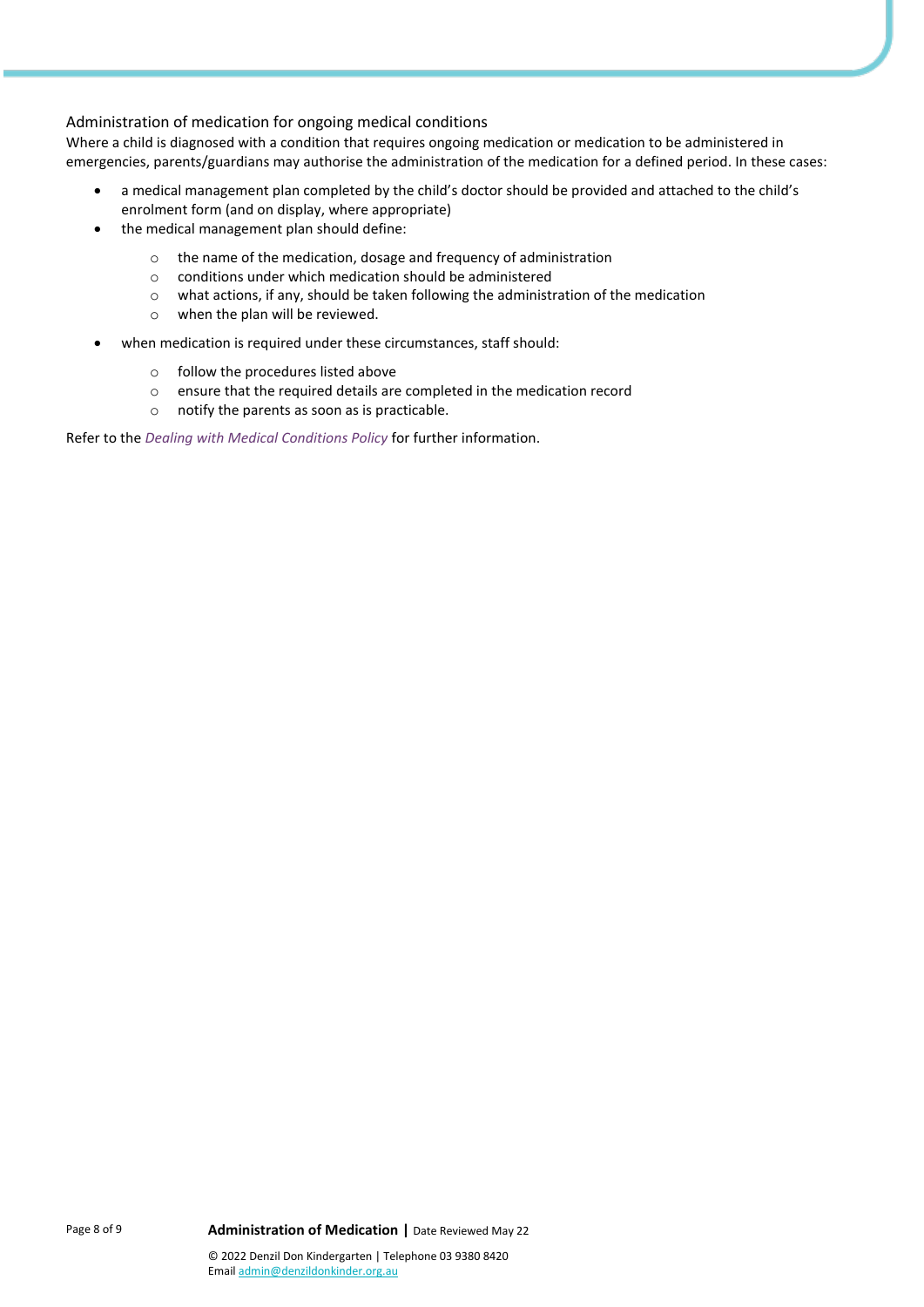### Administration of medication for ongoing medical conditions

Where a child is diagnosed with a condition that requires ongoing medication or medication to be administered in emergencies, parents/guardians may authorise the administration of the medication for a defined period. In these cases:

- a medical management plan completed by the child's doctor should be provided and attached to the child's enrolment form (and on display, where appropriate)
- the medical management plan should define:
	- o the name of the medication, dosage and frequency of administration
	- o conditions under which medication should be administered
	- o what actions, if any, should be taken following the administration of the medication
	- o when the plan will be reviewed.
- when medication is required under these circumstances, staff should:
	- o follow the procedures listed above
	- o ensure that the required details are completed in the medication record
	- o notify the parents as soon as is practicable.

Refer to the *Dealing with Medical Conditions Policy* for further information.